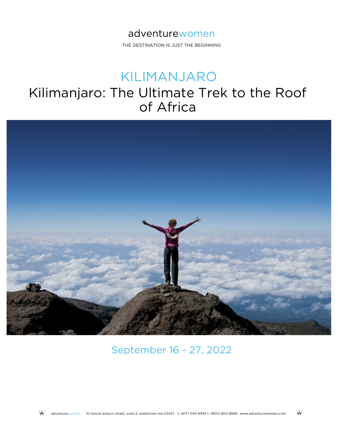THE DESTINATION IS JUST THE BEGINNING

# KILIMANJARO

# Kilimanjaro: The Ultimate Trek to the Roof of Africa



September 16 - 27, 2022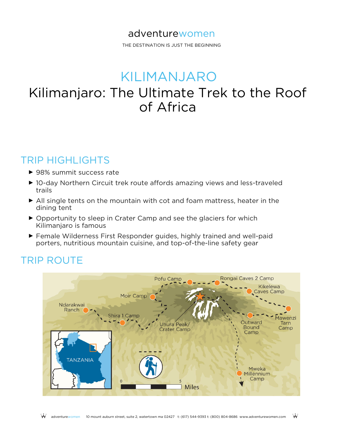THE DESTINATION IS JUST THE BEGINNING

# KILIMANJARO

# Kilimanjaro: The Ultimate Trek to the Roof of Africa

## TRIP HIGHLIGHTS

- ► 98% summit success rate
- ► 10-day Northern Circuit trek route affords amazing views and less-traveled trails
- ► All single tents on the mountain with cot and foam mattress, heater in the dining tent
- ▶ Opportunity to sleep in Crater Camp and see the glaciers for which Kilimanjaro is famous
- ► Female Wilderness First Responder guides, highly trained and well-paid porters, nutritious mountain cuisine, and top-of-the-line safety gear

## TRIP ROUTE

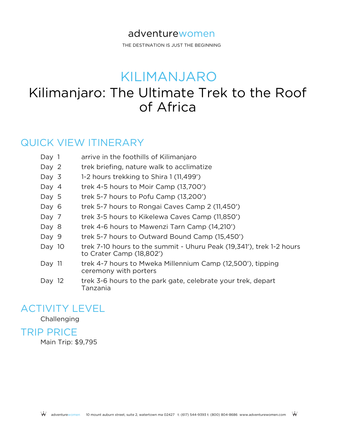THE DESTINATION IS JUST THE BEGINNING

# KILIMANJARO

# Kilimanjaro: The Ultimate Trek to the Roof of Africa

### QUICK VIEW ITINERARY

- Day 1 arrive in the foothills of Kilimanjaro
- Day 2 trek briefing, nature walk to acclimatize
- Day 3 1-2 hours trekking to Shira 1 (11,499')
- Day 4 trek 4-5 hours to Moir Camp (13,700')
- Day 5 trek 5-7 hours to Pofu Camp (13,200')
- Day 6 trek 5-7 hours to Rongai Caves Camp 2 (11,450')
- Day 7 trek 3-5 hours to Kikelewa Caves Camp (11,850')
- Day 8 trek 4-6 hours to Mawenzi Tarn Camp (14,210')
- Day 9 trek 5-7 hours to Outward Bound Camp (15,450')
- trek 7-10 hours to the summit Uhuru Peak (19,341'), trek 1-2 hours to Crater Camp (18,802') Day 10
- trek 4-7 hours to Mweka Millennium Camp (12,500'), tipping ceremony with porters Day 11
- trek 3-6 hours to the park gate, celebrate your trek, depart Tanzania Day 12

## ACTIVITY LEVEL

#### Challenging

#### TRIP PRICE

Main Trip: \$9,795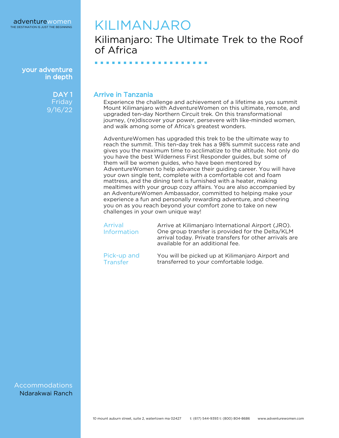your adventure in depth

> DAY<sub>1</sub> Friday 9/16/22

## KILIMANJARO

■ ■ ■ ■ ■ ■ ■ ■ ■ ■ ■ ■ ■ ■ ■ ■ ■ ■ ■ ■

Kilimanjaro: The Ultimate Trek to the Roof of Africa

Arrive in Tanzania

Experience the challenge and achievement of a lifetime as you summit Mount Kilimanjaro with AdventureWomen on this ultimate, remote, and upgraded ten-day Northern Circuit trek. On this transformational journey, (re)discover your power, persevere with like-minded women, and walk among some of Africa's greatest wonders.

AdventureWomen has upgraded this trek to be the ultimate way to reach the summit. This ten-day trek has a 98% summit success rate and gives you the maximum time to acclimatize to the altitude. Not only do you have the best Wilderness First Responder guides, but some of them will be women guides, who have been mentored by AdventureWomen to help advance their guiding career. You will have your own single tent, complete with a comfortable cot and foam mattress, and the dining tent is furnished with a heater, making mealtimes with your group cozy affairs. You are also accompanied by an AdventureWomen Ambassador, committed to helping make your experience a fun and personally rewarding adventure, and cheering you on as you reach beyond your comfort zone to take on new challenges in your own unique way!

| Arrival<br><b>Information</b> | Arrive at Kilimanjaro International Airport (JRO).<br>One group transfer is provided for the Delta/KLM<br>arrival today. Private transfers for other arrivals are<br>available for an additional fee. |
|-------------------------------|-------------------------------------------------------------------------------------------------------------------------------------------------------------------------------------------------------|
| Pick-up and                   | You will be picked up at Kilimanjaro Airport and                                                                                                                                                      |
| Transfer                      | transferred to your comfortable lodge.                                                                                                                                                                |

Accommodations Ndarakwai Ranch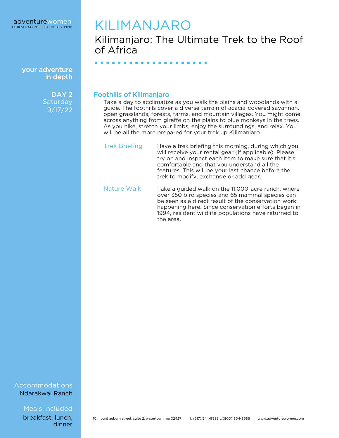your adventure in depth

> DAY<sub>2</sub> **Saturday** 9/17/22

## KILIMANJARO

## Kilimanjaro: The Ultimate Trek to the Roof of Africa

■ ■ ■ ■ ■ ■ ■ ■ ■ ■ ■ ■ ■ ■ ■ ■ ■ ■ ■ ■

#### Foothills of Kilimanjaro

Take a day to acclimatize as you walk the plains and woodlands with a guide. The foothills cover a diverse terrain of acacia-covered savannah, open grasslands, forests, farms, and mountain villages. You might come across anything from giraffe on the plains to blue monkeys in the trees. As you hike, stretch your limbs, enjoy the surroundings, and relax. You will be all the more prepared for your trek up Kilimanjaro.

- Trek Briefing Have a trek briefing this morning, during which you will receive your rental gear (if applicable). Please try on and inspect each item to make sure that it's comfortable and that you understand all the features. This will be your last chance before the trek to modify, exchange or add gear.
- Nature Walk Take a guided walk on the 11,000-acre ranch, where over 350 bird species and 65 mammal species can be seen as a direct result of the conservation work happening here. Since conservation efforts began in 1994, resident wildlife populations have returned to the area.

#### Accommodations Ndarakwai Ranch

Meals Included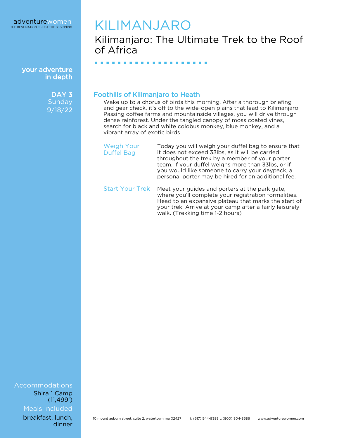your adventure in depth

> DAY<sub>3</sub> **Sunday** 9/18/22

# KILIMANJARO

Kilimanjaro: The Ultimate Trek to the Roof of Africa

Foothills of Kilimanjaro to Heath

■ ■ ■ ■ ■ ■ ■ ■ ■ ■ ■ ■ ■ ■ ■ ■ ■ ■ ■ ■

Wake up to a chorus of birds this morning. After a thorough briefing and gear check, it's off to the wide-open plains that lead to Kilimanjaro. Passing coffee farms and mountainside villages, you will drive through dense rainforest. Under the tangled canopy of moss coated vines, search for black and white colobus monkey, blue monkey, and a vibrant array of exotic birds.

- Weigh Your Duffel Bag Today you will weigh your duffel bag to ensure that it does not exceed 33lbs, as it will be carried throughout the trek by a member of your porter team. If your duffel weighs more than 33lbs, or if you would like someone to carry your daypack, a personal porter may be hired for an additional fee.
- Start Your Trek Meet your guides and porters at the park gate, where you'll complete your registration formalities. Head to an expansive plateau that marks the start of your trek. Arrive at your camp after a fairly leisurely walk. (Trekking time 1-2 hours)

Accommodations Meals Included Shira 1 Camp (11,499')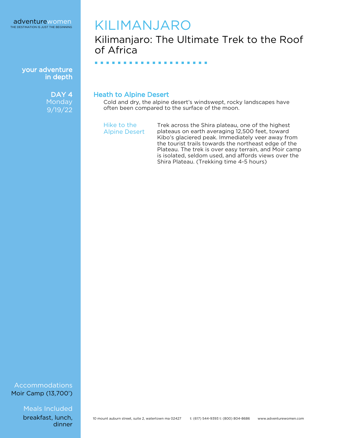your adventure in depth

> DAY<sub>4</sub> **Monday** 9/19/22

## KILIMANJARO

## Kilimanjaro: The Ultimate Trek to the Roof of Africa

■ ■ ■ ■ ■ ■ ■ ■ ■ ■ ■ ■ ■ ■ ■ ■ ■ ■ ■ ■

Heath to Alpine Desert

Cold and dry, the alpine desert's windswept, rocky landscapes have often been compared to the surface of the moon.

Hike to the Alpine Desert Trek across the Shira plateau, one of the highest plateaus on earth averaging 12,500 feet, toward Kibo's glaciered peak. Immediately veer away from the tourist trails towards the northeast edge of the Plateau. The trek is over easy terrain, and Moir camp is isolated, seldom used, and affords views over the Shira Plateau. (Trekking time 4-5 hours)

#### Accommodations Moir Camp (13,700')

Meals Included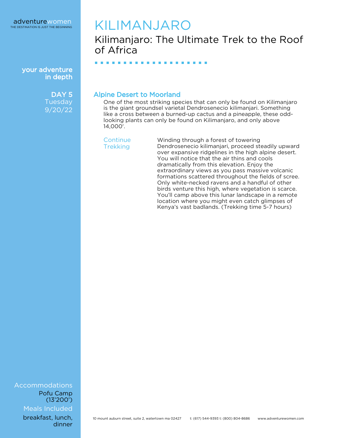your adventure in depth

> DAY<sub>5</sub> **Tuesday** 9/20/22

## KILIMANJARO

■ ■ ■ ■ ■ ■ ■ ■ ■ ■ ■ ■ ■ ■ ■ ■ ■ ■ ■ ■

Kilimanjaro: The Ultimate Trek to the Roof of Africa

Alpine Desert to Moorland

One of the most striking species that can only be found on Kilimanjaro is the giant groundsel varietal Dendrosenecio kilimanjari. Something like a cross between a burned-up cactus and a pineapple, these oddlooking plants can only be found on Kilimanjaro, and only above 14,000'.

**Continue Trekking** 

Winding through a forest of towering Dendrosenecio kilimanjari, proceed steadily upward over expansive ridgelines in the high alpine desert. You will notice that the air thins and cools dramatically from this elevation. Enjoy the extraordinary views as you pass massive volcanic formations scattered throughout the fields of scree. Only white-necked ravens and a handful of other birds venture this high, where vegetation is scarce. You'll camp above this lunar landscape in a remote location where you might even catch glimpses of Kenya's vast badlands. (Trekking time 5-7 hours)

Accommodations Meals Included Pofu Camp (13'200')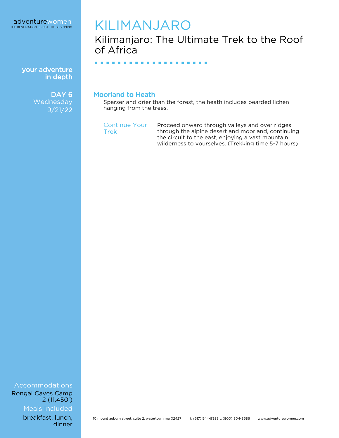your adventure in depth

> DAY<sub>6</sub> **Wednesday** 9/21/22

## KILIMANJARO

Kilimanjaro: The Ultimate Trek to the Roof of Africa

■ ■ ■ ■ ■ ■ ■ ■ ■ ■ ■ ■ ■ ■ ■ ■ ■ ■ ■ ■

#### Moorland to Heath

Sparser and drier than the forest, the heath includes bearded lichen hanging from the trees.

Continue Your Trek

Proceed onward through valleys and over ridges through the alpine desert and moorland, continuing the circuit to the east, enjoying a vast mountain wilderness to yourselves. (Trekking time 5-7 hours)

Accommodations Rongai Caves Camp 2 (11,450')

Meals Included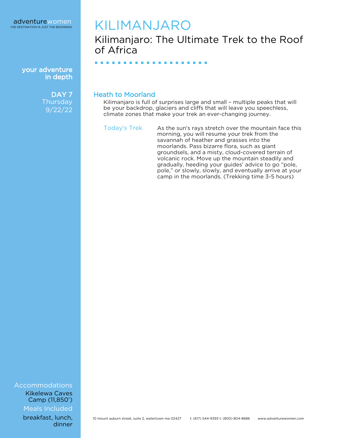

your adventure in depth

> DAY<sub>7</sub> **Thursday** 9/22/22

## KILIMANJARO

## Kilimanjaro: The Ultimate Trek to the Roof of Africa

■ ■ ■ ■ ■ ■ ■ ■ ■ ■ ■ ■ ■ ■ ■ ■ ■ ■ ■ ■

#### Heath to Moorland

Kilimanjaro is full of surprises large and small - multiple peaks that will be your backdrop, glaciers and cliffs that will leave you speechless, climate zones that make your trek an ever-changing journey.

Today's Trek As the sun's rays stretch over the mountain face this morning, you will resume your trek from the savannah of heather and grasses into the moorlands. Pass bizarre flora, such as giant groundsels, and a misty, cloud-covered terrain of volcanic rock. Move up the mountain steadily and gradually, heeding your guides' advice to go "pole, pole," or slowly, slowly, and eventually arrive at your camp in the moorlands. (Trekking time 3-5 hours)

Accommodations Kikelewa Caves Camp (11,850')

Meals Included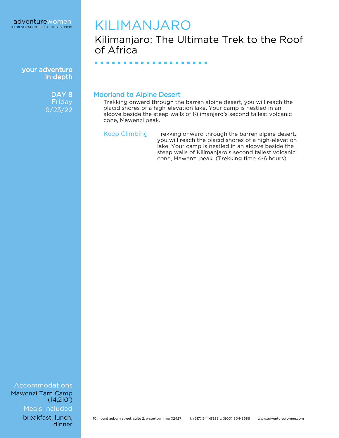

your adventure in depth

> DAY<sub>8</sub> **Friday** 9/23/22

## KILIMANJARO

■ ■ ■ ■ ■ ■ ■ ■ ■ ■ ■ ■ ■ ■ ■ ■ ■ ■ ■ ■

Kilimanjaro: The Ultimate Trek to the Roof of Africa

Moorland to Alpine Desert

Trekking onward through the barren alpine desert, you will reach the placid shores of a high-elevation lake. Your camp is nestled in an alcove beside the steep walls of Kilimanjaro's second tallest volcanic cone, Mawenzi peak.

Keep Climbing Trekking onward through the barren alpine desert, you will reach the placid shores of a high-elevation lake. Your camp is nestled in an alcove beside the steep walls of Kilimanjaro's second tallest volcanic cone, Mawenzi peak. (Trekking time 4-6 hours)

Accommodations Mawenzi Tarn Camp  $(14,210)$ 

Meals Included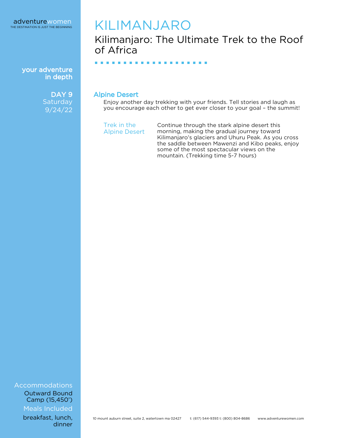your adventure in depth

> DAY<sub>9</sub> **Saturday** 9/24/22

## KILIMANJARO

■ ■ ■ ■ ■ ■ ■ ■ ■ ■ ■ ■ ■ ■ ■ ■ ■ ■ ■ ■

Kilimanjaro: The Ultimate Trek to the Roof of Africa

Alpine Desert

Enjoy another day trekking with your friends. Tell stories and laugh as you encourage each other to get ever closer to your goal – the summit!

Trek in the Alpine Desert

Continue through the stark alpine desert this morning, making the gradual journey toward Kilimanjaro's glaciers and Uhuru Peak. As you cross the saddle between Mawenzi and Kibo peaks, enjoy some of the most spectacular views on the mountain. (Trekking time 5-7 hours)

Accommodations Outward Bound Camp (15,450')

Meals Included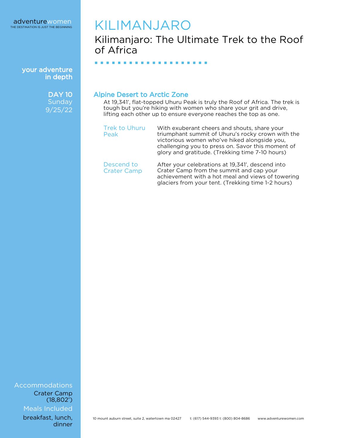your adventure in depth

> **DAY 10 Sunday** 9/25/22

## KILIMANJARO

■ ■ ■ ■ ■ ■ ■ ■ ■ ■ ■ ■ ■ ■ ■ ■ ■ ■ ■ ■

Kilimanjaro: The Ultimate Trek to the Roof of Africa

Alpine Desert to Arctic Zone

Peak

At 19,341', flat-topped Uhuru Peak is truly the Roof of Africa. The trek is tough but you're hiking with women who share your grit and drive, lifting each other up to ensure everyone reaches the top as one.

Trek to Uhuru With exuberant cheers and shouts, share your triumphant summit of Uhuru's rocky crown with the victorious women who've hiked alongside you, challenging you to press on. Savor this moment of glory and gratitude. (Trekking time 7-10 hours)

Descend to Crater Camp After your celebrations at 19,341', descend into Crater Camp from the summit and cap your achievement with a hot meal and views of towering glaciers from your tent. (Trekking time 1-2 hours)

Accommodations Meals Included Crater Camp (18,802')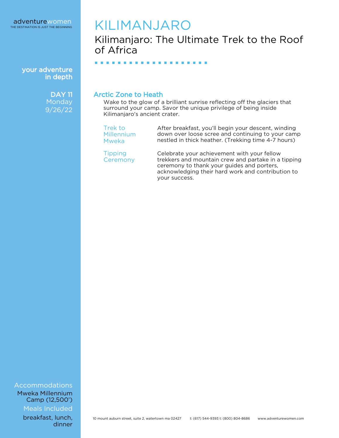your adventure in depth

> DAY 11 **Monday** 9/26/22

## KILIMANJARO

■ ■ ■ ■ ■ ■ ■ ■ ■ ■ ■ ■ ■ ■ ■ ■ ■ ■ ■ ■

## Kilimanjaro: The Ultimate Trek to the Roof of Africa

Arctic Zone to Heath

Wake to the glow of a brilliant sunrise reflecting off the glaciers that surround your camp. Savor the unique privilege of being inside Kilimanjaro's ancient crater.

Trek to Millennium Mweka

**Tipping Ceremony**  After breakfast, you'll begin your descent, winding down over loose scree and continuing to your camp nestled in thick heather. (Trekking time 4-7 hours)

Celebrate your achievement with your fellow trekkers and mountain crew and partake in a tipping ceremony to thank your guides and porters, acknowledging their hard work and contribution to your success.

Accommodations

Meals Included Mweka Millennium Camp (12,500')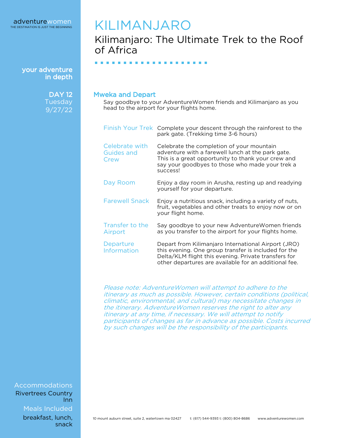your adventure in depth

> **DAY 12** Tuesday 9/27/22

## KILIMANJARO

## Kilimanjaro: The Ultimate Trek to the Roof of Africa

■ ■ ■ ■ ■ ■ ■ ■ ■ ■ ■ ■ ■ ■ ■ ■ ■ ■ ■ ■

#### Mweka and Depart

Say goodbye to your AdventureWomen friends and Kilimanjaro as you head to the airport for your flights home.

|                                             | Finish Your Trek Complete your descent through the rainforest to the<br>park gate. (Trekking time 3-6 hours)                                                                                                                 |
|---------------------------------------------|------------------------------------------------------------------------------------------------------------------------------------------------------------------------------------------------------------------------------|
| Celebrate with<br><b>Guides and</b><br>Crew | Celebrate the completion of your mountain<br>adventure with a farewell lunch at the park gate.<br>This is a great opportunity to thank your crew and<br>say your goodbyes to those who made your trek a<br>success!          |
| Day Room                                    | Enjoy a day room in Arusha, resting up and readying<br>yourself for your departure.                                                                                                                                          |
| <b>Farewell Snack</b>                       | Enjoy a nutritious snack, including a variety of nuts,<br>fruit, vegetables and other treats to enjoy now or on<br>your flight home.                                                                                         |
| Transfer to the<br>Airport                  | Say goodbye to your new Adventure Women friends<br>as you transfer to the airport for your flights home.                                                                                                                     |
| Departure<br>Information                    | Depart from Kilimanjaro International Airport (JRO)<br>this evening. One group transfer is included for the<br>Delta/KLM flight this evening. Private transfers for<br>other departures are available for an additional fee. |

Please note: AdventureWomen will attempt to adhere to the itinerary as much as possible. However, certain conditions (political, climatic, environmental, and cultural) may necessitate changes in the itinerary. AdventureWomen reserves the right to alter any itinerary at any time, if necessary. We will attempt to notify participants of changes as far in advance as possible. Costs incurred by such changes will be the responsibility of the participants.

Accommodations Rivertrees Country Inn

Meals Included

breakfast, lunch, snack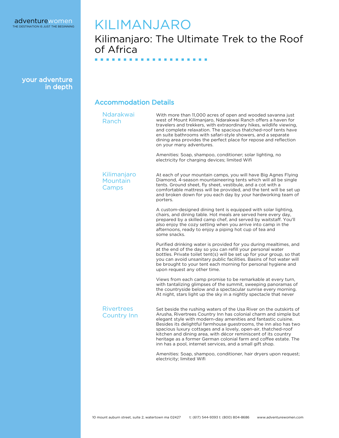

## KILIMANJARO

#### Kilimanjaro: The Ultimate Trek to the Roof of Africa ■ ■ ■ ■ ■ ■ ■ ■ ■ ■ ■ ■ ■ ■ ■ ■ ■ ■ ■ ■

your adventure in depth

#### Accommodation Details

| <b>Ndarakwai</b><br>Ranch               | With more than 11,000 acres of open and wooded savanna just<br>west of Mount Kilimanjaro, Ndarakwai Ranch offers a haven for<br>travelers and trekkers, with extraordinary hikes, wildlife viewing,<br>and complete relaxation. The spacious thatched-roof tents have<br>en suite bathrooms with safari-style showers, and a separate<br>dining area provides the perfect place for repose and reflection<br>on your many adventures. |
|-----------------------------------------|---------------------------------------------------------------------------------------------------------------------------------------------------------------------------------------------------------------------------------------------------------------------------------------------------------------------------------------------------------------------------------------------------------------------------------------|
|                                         | Amenities: Soap, shampoo, conditioner; solar lighting, no<br>electricity for charging devices; limited Wifi                                                                                                                                                                                                                                                                                                                           |
| Kilimanjaro<br>Mountain<br>Camps        | At each of your mountain camps, you will have Big Agnes Flying<br>Diamond, 4-season mountaineering tents which will all be single<br>tents. Ground sheet, fly sheet, vestibule, and a cot with a<br>comfortable mattress will be provided, and the tent will be set up<br>and broken down for you each day by your hardworking team of<br>porters.                                                                                    |
|                                         | A custom-designed dining tent is equipped with solar lighting,<br>chairs, and dining table. Hot meals are served here every day,<br>prepared by a skilled camp chef, and served by waitstaff. You'll<br>also enjoy the cozy setting when you arrive into camp in the<br>afternoons, ready to enjoy a piping hot cup of tea and<br>some snacks.                                                                                        |
|                                         | Purified drinking water is provided for you during mealtimes, and<br>at the end of the day so you can refill your personal water<br>bottles. Private toilet tent(s) will be set up for your group, so that<br>you can avoid unsanitary public facilities. Basins of hot water will<br>be brought to your tent each morning for personal hygiene and<br>upon request any other time.                                                   |
|                                         | Views from each camp promise to be remarkable at every turn,<br>with tantalizing glimpses of the summit, sweeping panoramas of<br>the countryside below and a spectacular sunrise every morning.<br>At night, stars light up the sky in a nightly spectacle that never                                                                                                                                                                |
| <b>Rivertrees</b><br><b>Country Inn</b> | Set beside the rushing waters of the Usa River on the outskirts of<br>Arusha, Rivertrees Country Inn has colonial charm and simple but<br>elegant style with modern-day amenities and fantastic cuisine.<br>Besides its delightful farmhouse guestrooms, the inn also has two                                                                                                                                                         |

Besides its delightful farmhouse guestrooms, the inn also has two spacious luxury cottages and a lovely, open-air, thatched-roof kitchen and dining area, with décor reminiscent of its country heritage as a former German colonial farm and coffee estate. The inn has a pool, internet services, and a small gift shop.

Amenities: Soap, shampoo, conditioner, hair dryers upon request; electricity; limited Wifi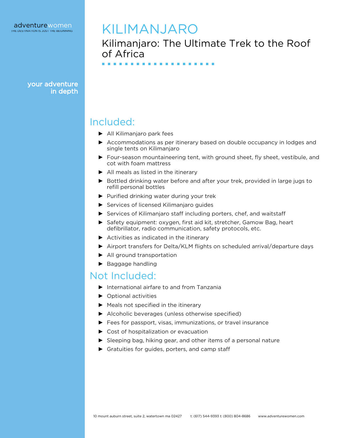your adventure in depth

## KILIMANJARO

■ ■ ■ ■ ■ ■ ■ ■ ■ ■ ■ ■ ■ ■ ■ ■ ■ ■ ■ ■

Kilimanjaro: The Ultimate Trek to the Roof of Africa

### Included:

- ► All Kilimanjaro park fees
- ► Accommodations as per itinerary based on double occupancy in lodges and single tents on Kilimanjaro
- ► Four-season mountaineering tent, with ground sheet, fly sheet, vestibule, and cot with foam mattress
- ► All meals as listed in the itinerary
- ► Bottled drinking water before and after your trek, provided in large jugs to refill personal bottles
- ► Purified drinking water during your trek
- ► Services of licensed Kilimanjaro guides
- ► Services of Kilimanjaro staff including porters, chef, and waitstaff
- ► Safety equipment: oxygen, first aid kit, stretcher, Gamow Bag, heart defibrillator, radio communication, safety protocols, etc.
- ► Activities as indicated in the itinerary
- ► Airport transfers for Delta/KLM flights on scheduled arrival/departure days
- ► All ground transportation
- ► Baggage handling

### Not Included:

- ► International airfare to and from Tanzania
- ► Optional activities
- ► Meals not specified in the itinerary
- ► Alcoholic beverages (unless otherwise specified)
- ► Fees for passport, visas, immunizations, or travel insurance
- ► Cost of hospitalization or evacuation
- ► Sleeping bag, hiking gear, and other items of a personal nature
- ► Gratuities for guides, porters, and camp staff